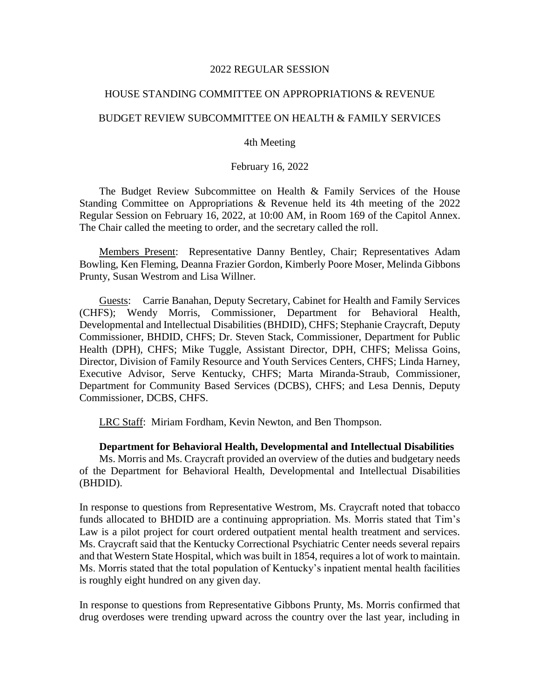#### 2022 REGULAR SESSION

# HOUSE STANDING COMMITTEE ON APPROPRIATIONS & REVENUE

# BUDGET REVIEW SUBCOMMITTEE ON HEALTH & FAMILY SERVICES

# 4th Meeting

# February 16, 2022

The Budget Review Subcommittee on Health & Family Services of the House Standing Committee on Appropriations & Revenue held its 4th meeting of the 2022 Regular Session on February 16, 2022, at 10:00 AM, in Room 169 of the Capitol Annex. The Chair called the meeting to order, and the secretary called the roll.

Members Present: Representative Danny Bentley, Chair; Representatives Adam Bowling, Ken Fleming, Deanna Frazier Gordon, Kimberly Poore Moser, Melinda Gibbons Prunty, Susan Westrom and Lisa Willner.

Guests: Carrie Banahan, Deputy Secretary, Cabinet for Health and Family Services (CHFS); Wendy Morris, Commissioner, Department for Behavioral Health, Developmental and Intellectual Disabilities (BHDID), CHFS; Stephanie Craycraft, Deputy Commissioner, BHDID, CHFS; Dr. Steven Stack, Commissioner, Department for Public Health (DPH), CHFS; Mike Tuggle, Assistant Director, DPH, CHFS; Melissa Goins, Director, Division of Family Resource and Youth Services Centers, CHFS; Linda Harney, Executive Advisor, Serve Kentucky, CHFS; Marta Miranda-Straub, Commissioner, Department for Community Based Services (DCBS), CHFS; and Lesa Dennis, Deputy Commissioner, DCBS, CHFS.

LRC Staff: Miriam Fordham, Kevin Newton, and Ben Thompson.

# **Department for Behavioral Health, Developmental and Intellectual Disabilities**

Ms. Morris and Ms. Craycraft provided an overview of the duties and budgetary needs of the Department for Behavioral Health, Developmental and Intellectual Disabilities (BHDID).

In response to questions from Representative Westrom, Ms. Craycraft noted that tobacco funds allocated to BHDID are a continuing appropriation. Ms. Morris stated that Tim's Law is a pilot project for court ordered outpatient mental health treatment and services. Ms. Craycraft said that the Kentucky Correctional Psychiatric Center needs several repairs and that Western State Hospital, which was built in 1854, requires a lot of work to maintain. Ms. Morris stated that the total population of Kentucky's inpatient mental health facilities is roughly eight hundred on any given day.

In response to questions from Representative Gibbons Prunty, Ms. Morris confirmed that drug overdoses were trending upward across the country over the last year, including in